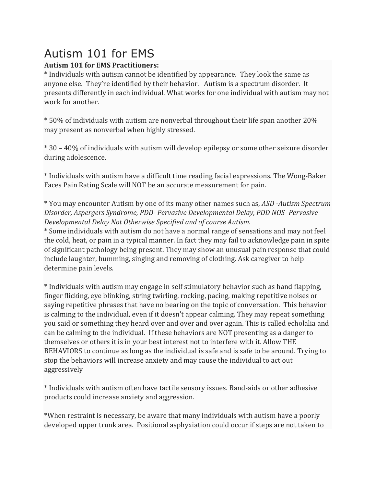## Autism 101 for EMS

## **Autism 101 for EMS Practitioners:**

\* Individuals with autism cannot be identified by appearance. They look the same as anyone else. They're identified by their behavior. Autism is a spectrum disorder. It presents differently in each individual. What works for one individual with autism may not work for another.

\* 50% of individuals with autism are nonverbal throughout their life span another 20% may present as nonverbal when highly stressed.

\* 30 – 40% of individuals with autism will develop epilepsy or some other seizure disorder during adolescence.

\* Individuals with autism have a difficult time reading facial expressions. The Wong-Baker Faces Pain Rating Scale will NOT be an accurate measurement for pain.

\* You may encounter Autism by one of its many other names such as, *ASD -Autism Spectrum Disorder, Aspergers Syndrome, PDD- Pervasive Developmental Delay, PDD NOS- Pervasive Developmental Delay Not Otherwise Specified and of course Autism.*

\* Some individuals with autism do not have a normal range of sensations and may not feel the cold, heat, or pain in a typical manner. In fact they may fail to acknowledge pain in spite of significant pathology being present. They may show an unusual pain response that could include laughter, humming, singing and removing of clothing. Ask caregiver to help determine pain levels.

\* Individuals with autism may engage in self stimulatory behavior such as hand flapping, finger flicking, eye blinking, string twirling, rocking, pacing, making repetitive noises or saying repetitive phrases that have no bearing on the topic of conversation. This behavior is calming to the individual, even if it doesn't appear calming. They may repeat something you said or something they heard over and over and over again. This is called echolalia and can be calming to the individual. If these behaviors are NOT presenting as a danger to themselves or others it is in your best interest not to interfere with it. Allow THE BEHAVIORS to continue as long as the individual is safe and is safe to be around. Trying to stop the behaviors will increase anxiety and may cause the individual to act out aggressively

\* Individuals with autism often have tactile sensory issues. Band-aids or other adhesive products could increase anxiety and aggression.

\*When restraint is necessary, be aware that many individuals with autism have a poorly developed upper trunk area. Positional asphyxiation could occur if steps are not taken to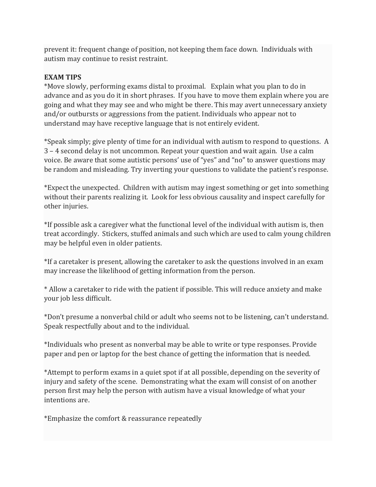prevent it: frequent change of position, not keeping them face down. Individuals with autism may continue to resist restraint.

## **EXAM TIPS**

\*Move slowly, performing exams distal to proximal. Explain what you plan to do in advance and as you do it in short phrases. If you have to move them explain where you are going and what they may see and who might be there. This may avert unnecessary anxiety and/or outbursts or aggressions from the patient. Individuals who appear not to understand may have receptive language that is not entirely evident.

\*Speak simply; give plenty of time for an individual with autism to respond to questions. A 3 – 4 second delay is not uncommon. Repeat your question and wait again. Use a calm voice. Be aware that some autistic persons' use of "yes" and "no" to answer questions may be random and misleading. Try inverting your questions to validate the patient's response.

\*Expect the unexpected. Children with autism may ingest something or get into something without their parents realizing it. Look for less obvious causality and inspect carefully for other injuries.

\*If possible ask a caregiver what the functional level of the individual with autism is, then treat accordingly. Stickers, stuffed animals and such which are used to calm young children may be helpful even in older patients.

\*If a caretaker is present, allowing the caretaker to ask the questions involved in an exam may increase the likelihood of getting information from the person.

\* Allow a caretaker to ride with the patient if possible. This will reduce anxiety and make your job less difficult.

\*Don't presume a nonverbal child or adult who seems not to be listening, can't understand. Speak respectfully about and to the individual.

\*Individuals who present as nonverbal may be able to write or type responses. Provide paper and pen or laptop for the best chance of getting the information that is needed.

\*Attempt to perform exams in a quiet spot if at all possible, depending on the severity of injury and safety of the scene. Demonstrating what the exam will consist of on another person first may help the person with autism have a visual knowledge of what your intentions are.

\*Emphasize the comfort & reassurance repeatedly